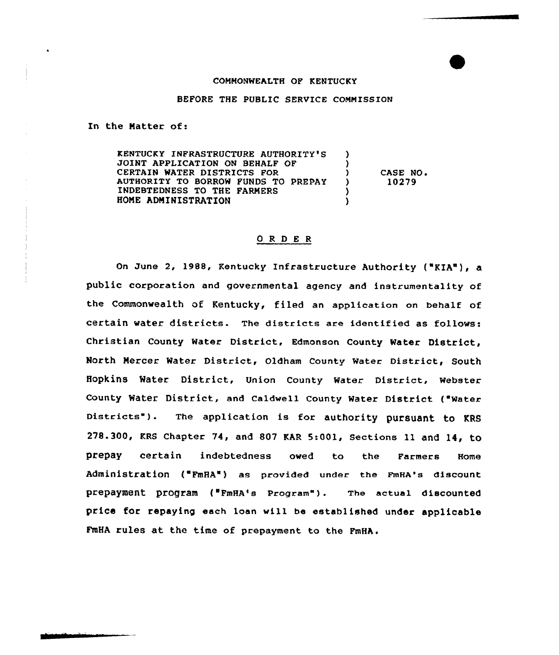## COMMONWEALTH OF KENTUCKY

## BEFORE THE PUBLIC SERVICE COMMISSION

In the Natter of:

KENTUCKY INFRASTRUCTURE AUTHORITY'S <sup>1</sup> JOINT APPLICATION ON BEHALF OF <sup>)</sup> CERTAIN WATER DISTRICTS FOR CASE NO. Y AUTHORITY TO BORROW FUNDS TO PREPAY  $\lambda$ 10279 INDEBTEDNESS TO THE FARMERS  $\lambda$ HONE ADNINISTRATION  $\lambda$ 

## ORDER

On June 2, 1988, Kentucky Infrastructure Authority ("KIA"), a public corpcration and governmental agency and instrumentality of the Commonwealth of Kentucky, filed an application on behalf of certain water districts. The districts are identified as follows: Christian County Water District, Edmonson County Water District, North Nercer Water District, Oldham County Water District, South Hopkins water District, Union county water District, webster County Water District, and Caldwell County Water District ("Water Districts"). The application is for authority pursuant to KRS 278.300, KRS Chapter 74, and 807 KAR 5:001, Sections ll and 14, tO prepay certain indebtedness owed to the Farmers Home Administration ('FmHA") as provided under the FmHA's discount prepayment program ("FmHA's Program"). The actual discounted price for repaying each loan will be established under applicable FmHA rules at the time of prepayment to the FmHA.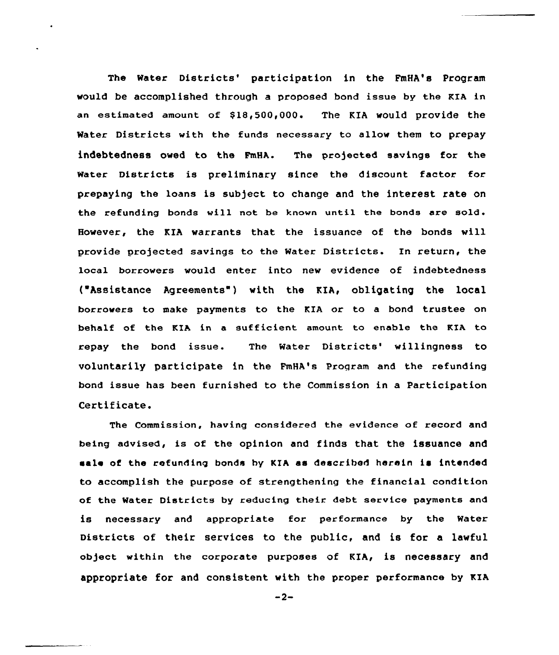The Water Districts' participation in the FmHA's Program would be accomplished through a proposed bond issue by the KIA in an estimated amount of \$18,500,000. The KIA would provide the Water Districts with the funds necessary to allow them to prepay indebtedness owed to the FmHA. The projected savings fox the Water Districts is preliminary since the discount factor for prepaying the loans is subject to change and the interest rate on the refunding bonds will not be known until the bonds are sold. the KIA warrants that the issuance of the bonds will provide projected savings to the Water Districts. In return, the local borrowers would enter into new evidence of indebtedness ("Assistance Agreements" ) with the KIA, obligating the local borrowers to make payments to the KIA or to a bond trustee on behalf of the KIA in a sufficient amount to enable the KIA to repay the bond issue. The Water Districts' willingness to voluntarily participate in the FmHA's Program and the refunding bond issue has been furnished to the Commission in a Participation Certificate.

The Commission, having considered the evidence of record and being advised, is of the opinion and finds that the issuance and sale of the refunding bonds by KIA as described herein is intended to accomplish the purpose of strengthening the financial condition of the Water Districts by reducing their debt service payments and is necessary and appropriate for performance by the Water Districts of their services to the public, and is for a lawful object within the corporate purposes of KIA, is necessary and appropriate for and consistent with the proper performance by KIA

 $-2-$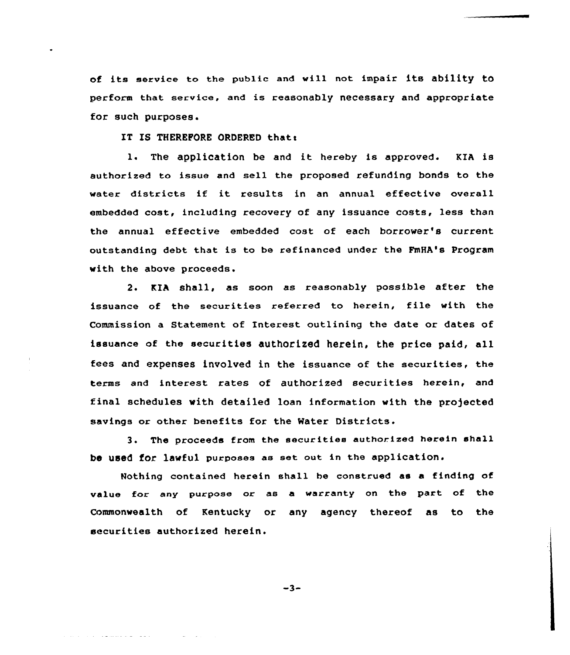of its service to the public and will not impair its ability to perform that service, and is reasonably necessary and appropriate for such purposes.

IT IS THEREFORE ORDERED that:

1. The application be and it hereby is approved. KIA is authorized to issue and sell the proposed refunding bonds to the water districts if it results in an annual effective overall embedded cost, including recovery of any issuance costs, less than the annual effective embedded cost of each borrower's current outstanding debt that is to be refinanced under the FmHA's Program with the above proceeds.

2. KIA shall, as soon as reasonably possible after the issuance of the securities referred to herein, file with the Commission a Statement of Interest outlining the date or dates of issuance of the securities authorized herein, the price paid, all fees and expenses involved in the issuance of the securities, the terms and interest rates of authorized securities herein, and final schedules with detailed loan information with the projected savings or other benefits for the Water Districts.

3. The proceeds from the securities authorized herein shall be used for lawful purposes as set out in the application.

Nothing contained herein shall be construed as a finding of value for any purpose or as a warranty on the part of the Commonwealth of Kentucky or any agency thereof as to the securities authorized herein.

 $-3-$